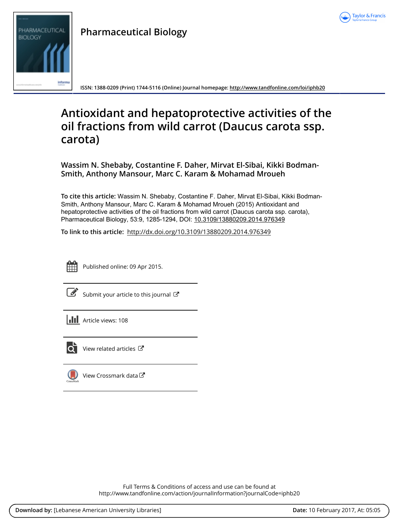



**ISSN: 1388-0209 (Print) 1744-5116 (Online) Journal homepage:<http://www.tandfonline.com/loi/iphb20>**

# **Antioxidant and hepatoprotective activities of the oil fractions from wild carrot (Daucus carota ssp. carota)**

**Wassim N. Shebaby, Costantine F. Daher, Mirvat El-Sibai, Kikki Bodman-Smith, Anthony Mansour, Marc C. Karam & Mohamad Mroueh**

**To cite this article:** Wassim N. Shebaby, Costantine F. Daher, Mirvat El-Sibai, Kikki Bodman-Smith, Anthony Mansour, Marc C. Karam & Mohamad Mroueh (2015) Antioxidant and hepatoprotective activities of the oil fractions from wild carrot (Daucus carota ssp. carota), Pharmaceutical Biology, 53:9, 1285-1294, DOI: [10.3109/13880209.2014.976349](http://www.tandfonline.com/action/showCitFormats?doi=10.3109/13880209.2014.976349)

**To link to this article:** <http://dx.doi.org/10.3109/13880209.2014.976349>



Published online: 09 Apr 2015.

[Submit your article to this journal](http://www.tandfonline.com/action/authorSubmission?journalCode=iphb20&show=instructions)  $\mathbb{Z}$ 

**Article views: 108** 



[View related articles](http://www.tandfonline.com/doi/mlt/10.3109/13880209.2014.976349) C

[View Crossmark data](http://crossmark.crossref.org/dialog/?doi=10.3109/13880209.2014.976349&domain=pdf&date_stamp=2015-04-09) $\mathbb{Z}$ 

Full Terms & Conditions of access and use can be found at <http://www.tandfonline.com/action/journalInformation?journalCode=iphb20>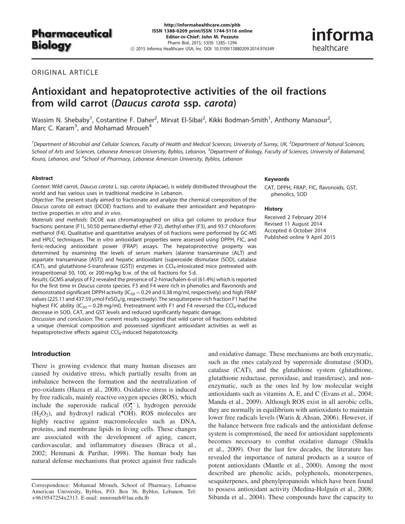# Pharmaceutical **Biology**

http://informahealthcare.com/phb ISSN 1388-0209 print/ISSN 1744-5116 online Editor-in-Chief: John M. Pezzuto Pharm Biol, 2015; 53(9): 1285–1294 ! 2015 Informa Healthcare USA, Inc. DOI: 10.3109/13880209.2014.976349

ORIGINAL ARTICLE

# Antioxidant and hepatoprotective activities of the oil fractions from wild carrot (Daucus carota ssp. carota)

Wassim N. Shebaby<sup>1</sup>, Costantine F. Daher<sup>2</sup>, Mirvat El-Sibai<sup>2</sup>, Kikki Bodman-Smith<sup>1</sup>, Anthony Mansour<sup>2</sup>, Marc C. Karam<sup>3</sup>, and Mohamad Mroueh<sup>4</sup>

<sup>1</sup> Department of Microbial and Cellular Sciences, Faculty of Health and Medical Sciences, University of Surrey, UK, <sup>2</sup> Department of Natural Sciences, School of Arts and Sciences, Lebanese American University, Byblos, Lebanon, <sup>3</sup>Department of Biology, Faculty of Sciences, University of Balamand, Koura, Lebanon, and <sup>4</sup>School of Pharmacy, Lebanese American University, Byblos, Lebanon

#### Abstract

Context: Wild carrot, Daucus carota L. ssp. carota (Apiacae), is widely distributed throughout the world and has various uses in traditional medicine in Lebanon.

Objective: The present study aimed to fractionate and analyze the chemical composition of the Daucus carota oil extract (DCOE) fractions and to evaluate their antioxidant and hepatoprotective properties in vitro and in vivo.

Materials and methods: DCOE was chromatographed on silica gel column to produce four fractions: pentane (F1), 50:50 pentane:diethyl ether (F2), diethyl ether (F3), and 93:7 chloroform: methanol (F4). Qualitative and quantitative analyses of oil fractions were performed by GC-MS and HPLC techniques. The in vitro antioxidant properties were assessed using DPPH, FIC, and ferric-reducing antioxidant power (FRAP) assays. The hepatoprotective property was determined by examining the levels of serum markers (alanine transaminase (ALT) and aspartate transaminase (AST)) and hepatic antioxidant (superoxide dismutase (SOD), catalase (CAT), and glutathione-S-transferase (GST)) enzymes in  $CCI<sub>4</sub>$ -intoxicated mice pretreated with intraperitoenal 50, 100, or 200 mg/kg b.w. of the oil fractions for 5 d.

Results: GCMS analysis of F2 revealed the presence of 2-himachalen-6-ol (61.4%) which is reported for the first time in Daucus carota species. F3 and F4 were rich in phenolics and flavonoids and demonstrated significant DPPH activity ( $IC_{50} = 0.29$  and 0.38 mg/ml, respectively) and high FRAP values (225.11 and 437.59  $\mu$ mol FeSO<sub>4</sub>/g, respectively). The sesquiterpene-rich fraction F1 had the highest FIC ability ( $IC_{50} = 0.28$  mg/ml). Pretreatment with F1 and F4 reversed the CCl<sub>4</sub>-induced decrease in SOD, CAT, and GST levels and reduced significantly hepatic damage.

Discussion and conclusion: The current results suggested that wild carrot oil fractions exhibited a unique chemical composition and possessed significant antioxidant activities as well as hepatoprotective effects against CCl<sub>4</sub>-induced hepatotoxicity.

## Introduction

There is growing evidence that many human diseases are caused by oxidative stress, which partially results from an imbalance between the formation and the neutralization of pro-oxidants (Hazra et al., [2008\)](#page-9-0). Oxidative stress is induced by free radicals, mainly reactive oxygen species (ROS), which include the superoxide radical  $(O_2^{\bullet -})$ , hydrogen peroxide  $(H<sub>2</sub>O<sub>2</sub>)$ , and hydroxyl radical (\*OH). ROS molecules are highly reactive against macromolecules such as DNA, proteins, and membrane lipids in living cells. These changes are associated with the development of aging, cancer, cardiovascular, and inflammatory diseases (Braca et al., [2002;](#page-9-0) Hemnani & Parihar, [1998](#page-9-0)). The human body has natural defense mechanisms that protect against free radicals

#### Keywords

CAT, DPPH, FRAP, FIC, flavonoids, GST, phenolics, SOD

informa

healthcare

#### **History**

Received 2 February 2014 Revised 11 August 2014 Accepted 6 October 2014 Published online 9 April 2015

and oxidative damage. These mechanisms are both enzymatic, such as the ones catalyzed by superoxide dismutase (SOD), catalase (CAT), and the glutathione system (glutathione, glutathione reductase, peroxidase, and transferase), and nonenzymatic, such as the ones led by low molecular weight antioxidants such as vitamins A, E, and C (Evans et al., [2004](#page-9-0); Manda et al., [2009](#page-9-0)). Although ROS exist in all aerobic cells, they are normally in equilibrium with antioxidants to maintain lower free radicals levels (Waris & Ahsan, [2006\)](#page-10-0). However, if the balance between free radicals and the antioxidant defense system is compromised, the need for antioxidant supplements becomes necessary to combat oxidative damage (Shukla et al., [2009\)](#page-10-0). Over the last few decades, the literature has revealed the importance of natural products as a source of potent antioxidants (Mantle et al., [2000](#page-9-0)). Among the most described are phenolic acids, polyphenols, monoterpenes, sesquiterpenes, and phenylpropanoids which have been found to possess antioxidant activity (Medina-Holguín et al., [2008](#page-9-0); Sibanda et al., [2004](#page-10-0)). These compounds have the capacity to

Correspondence: Mohamad Mroueh, School of Pharmacy, Lebanese American University, Byblos, P.O. Box 36, Byblos, Lebanon. Tel: +9619547254x2313. E-mail: mmroueh@lau.edu.lb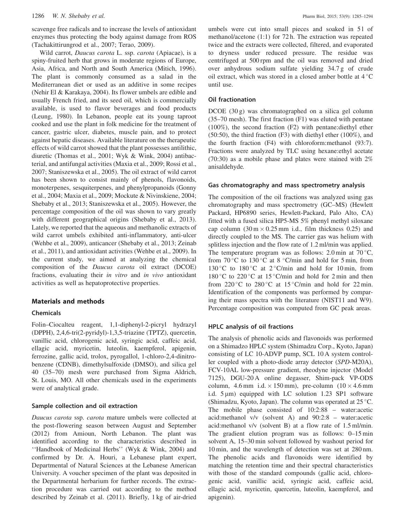scavenge free radicals and to increase the levels of antioxidant enzymes thus protecting the body against damage from ROS (Tachakittirungrod et al., [2007;](#page-10-0) Terao, [2009](#page-10-0)).

Wild carrot, Daucus carota L. ssp. carota (Apiacae), is a spiny-fruited herb that grows in moderate regions of Europe, Asia, Africa, and North and South America (Mitich, [1996](#page-9-0)). The plant is commonly consumed as a salad in the Mediterranean diet or used as an additive in some recipes (Nehir El & Karakaya, [2004](#page-9-0)). Its flower umbels are edible and usually French fried, and its seed oil, which is commercially available, is used to flavor beverages and food products (Leung, [1980\)](#page-9-0). In Lebanon, people eat its young taproot cooked and use the plant in folk medicine for the treatment of cancer, gastric ulcer, diabetes, muscle pain, and to protect against hepatic diseases. Available literature on the therapeutic effects of wild carrot showed that the plant possesses antilithic, diuretic (Thomas et al., [2001;](#page-10-0) Wyk & Wink, [2004\)](#page-10-0) antibacterial, and antifungal activities (Maxia et al., [2009](#page-9-0); Rossi et al., [2007;](#page-10-0) Staniszewska et al., [2005\)](#page-10-0). The oil extract of wild carrot has been shown to consist mainly of phenols, flavonoids, monoterpenes, sesquiterpenes, and phenylpropanoids (Gonny et al., [2004;](#page-9-0) Maxia et al., [2009;](#page-9-0) Mockute & Nivinskiene, [2004](#page-9-0); Shebaby et al., [2013;](#page-10-0) Staniszewska et al., [2005\)](#page-10-0). However, the percentage composition of the oil was shown to vary greatly with different geographical origins (Shebaby et al., [2013](#page-10-0)). Lately, we reported that the aqueous and methanolic extracts of wild carrot umbels exhibited anti-inflammatory, anti-ulcer (Wehbe et al., [2009](#page-10-0)), anticancer (Shebaby et al., [2013;](#page-10-0) Zeinab et al., [2011\)](#page-10-0), and antioxidant activities (Wehbe et al., [2009](#page-10-0)). In the current study, we aimed at analyzing the chemical composition of the Daucus carota oil extract (DCOE) fractions, evaluating their in vitro and in vivo antioxidant activities as well as hepatoprotective properties.

### Materials and methods

#### Chemicals

Folin–Ciocalteu reagent, 1,1-diphenyl-2-picryl hydrazyl (DPPH), 2,4,6-tri(2-pyridyl)-1,3,5-triazine (TPTZ), quercetin, vanillic acid, chlorogenic acid, syringic acid, caffeic acid, ellagic acid, myricetin, luteolin, kaempferol, apigenin, ferrozine, gallic acid, trolox, pyrogallol, 1-chloro-2,4-dinitrobenzene (CDNB), dimethylsulfoxide (DMSO), and silica gel 40 (35–70) mesh were purchased from Sigma Aldrich, St. Louis, MO. All other chemicals used in the experiments were of analytical grade.

#### Sample collection and oil extraction

Daucus carota ssp. carota mature umbels were collected at the post-flowering season between August and September (2012) from Amioun, North Lebanon. The plant was identified according to the characteristics described in ''Handbook of Medicinal Herbs'' (Wyk & Wink, [2004\)](#page-10-0) and confirmed by Dr. A. Houri, a Lebanese plant expert, Departmental of Natural Sciences at the Lebanese American University. A voucher specimen of the plant was deposited in the Departmental herbarium for further records. The extraction procedure was carried out according to the method described by Zeinab et al. [\(2011](#page-10-0)). Briefly, 1 kg of air-dried umbels were cut into small pieces and soaked in 51 of methanol/acetone (1:1) for 72 h. The extraction was repeated twice and the extracts were collected, filtered, and evaporated to dryness under reduced pressure. The residue was centrifuged at 500 rpm and the oil was removed and dried over anhydrous sodium sulfate yielding 34.7 g of crude oil extract, which was stored in a closed amber bottle at  $4^{\circ}$ C until use.

#### Oil fractionation

DCOE (30 g) was chromatographed on a silica gel column (35–70 mesh). The first fraction (F1) was eluted with pentane (100%), the second fraction (F2) with pentane:diethyl ether (50:50), the third fraction (F3) with diethyl ether (100%), and the fourth fraction (F4) with chloroform:methanol (93:7). Fractions were analyzed by TLC using hexane:ethyl acetate (70:30) as a mobile phase and plates were stained with 2% anisaldehyde.

#### Gas chromatography and mass spectrometry analysis

The composition of the oil fractions was analyzed using gas chromatography and mass spectrometry (GC–MS) (Hewlett Packard, HP6890 series, Hewlett-Packard, Palo Alto, CA) fitted with a fused silica HP5-MS 5% phenyl methyl siloxane cap column  $(30 \text{ m} \times 0.25 \text{ mm} \text{ i.d., film thickness } 0.25)$  and directly coupled to the MS. The carrier gas was helium with splitless injection and the flow rate of 1.2 ml/min was applied. The temperature program was as follows:  $2.0 \text{ min}$  at  $70 \degree \text{C}$ , from  $70^{\circ}$ C to  $130^{\circ}$ C at 8  $^{\circ}$ C/min and hold for 5 min, from 130 °C to 180 °C at  $2$  °C/min and hold for 10 min, from 180 °C to 220 °C at 15 °C/min and hold for 2 min and then from  $220^{\circ}$ C to  $280^{\circ}$ C at  $15^{\circ}$ C/min and hold for  $22$  min. Identification of the components was performed by comparing their mass spectra with the literature (NIST11 and W9). Percentage composition was computed from GC peak areas.

### HPLC analysis of oil fractions

The analysis of phenolic acids and flavonoids was performed on a Shimadzo HPLC system (Shimadzu Corp., Kyoto, Japan) consisting of LC 10-ADVP pump, SCL 10 A system controller coupled with a photo-diode array detector (SPD-M20A), FCV-10AL low-pressure gradient, rheodyne injector (Model 7125), DGU-20 A online degasser, Shim-pack VP-ODS column, 4.6 mm i.d.  $\times$  150 mm), pre-column (10  $\times$  4.6 mm i.d.  $5 \mu m$ ) equipped with LC solution 1.23 SP1 software (Shimadzu, Kyoto, Japan). The column was operated at  $25^{\circ}$ C. The mobile phase consisted of 10:2:88 – water:acetic acid:methanol v/v (solvent A) and 90:2:8 – water:acetic acid:methanol v/v (solvent B) at a flow rate of 1.5 ml/min. The gradient elution program was as follows: 0–15 min solvent A, 15–30 min solvent followed by washout period for 10 min, and the wavelength of detection was set at 280 nm. The phenolic acids and flavonoids were identified by matching the retention time and their spectral characteristics with those of the standard compounds (gallic acid, chlorogenic acid, vanillic acid, syringic acid, caffeic acid, ellagic acid, myricetin, quercetin, luteolin, kaempferol, and apigenin).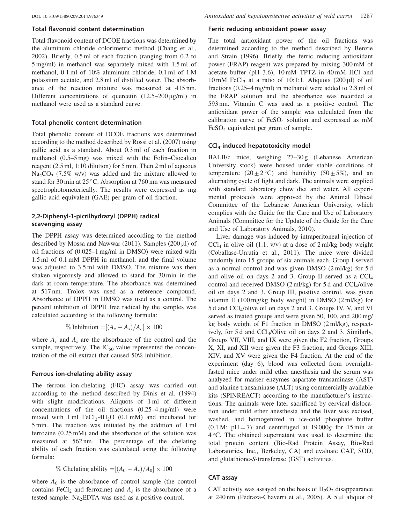#### Total flavonoid content determination

Total flavonoid content of DCOE fractions was determined by the aluminum chloride colorimetric method (Chang et al., [2002\)](#page-9-0). Briefly, 0.5 ml of each fraction (ranging from 0.2 to 5 mg/ml) in methanol was separately mixed with 1.5 ml of methanol, 0.1 ml of 10% aluminum chloride, 0.1 ml of 1 M potassium acetate, and 2.8 ml of distilled water. The absorbance of the reaction mixture was measured at 415 nm. Different concentrations of quercetin  $(12.5-200 \,\mu\text{g/ml})$  in methanol were used as a standard curve.

#### Total phenolic content determination

Total phenolic content of DCOE fractions was determined according to the method described by Rossi et al. ([2007\)](#page-10-0) using gallic acid as a standard. About 0.3 ml of each fraction in methanol (0.5–5 mg) was mixed with the Folin–Ciocalteu reagent (2.5 ml, 1:10 dilution) for 5 min. Then 2 ml of aqueous  $Na<sub>2</sub>CO<sub>3</sub>$  (7.5% w/v) was added and the mixture allowed to stand for 30 min at  $25^{\circ}$ C. Absorption at 760 nm was measured spectrophotometerically. The results were expressed as mg gallic acid equivalent (GAE) per gram of oil fraction.

# 2,2-Diphenyl-1-picrilhydrazyl (DPPH) radical scavenging assay

The DPPH assay was determined according to the method described by Mossa and Nawwar ([2011\)](#page-9-0). Samples (200 $\mu$ l) of oil fractions of (0.025–1 mg/ml in DMSO) were mixed with 1.5 ml of 0.1 mM DPPH in methanol, and the final volume was adjusted to 3.5 ml with DMSO. The mixture was then shaken vigorously and allowed to stand for 30 min in the dark at room temperature. The absorbance was determined at 517 nm. Trolox was used as a reference compound. Absorbance of DPPH in DMSO was used as a control. The percent inhibition of DPPH free radical by the samples was calculated according to the following formula:

$$
\% Inhibition = [(A_c - A_s)/A_c] \times 100
$$

where  $A_c$  and  $A_s$  are the absorbance of the control and the sample, respectively. The  $IC_{50}$  value represented the concentration of the oil extract that caused 50% inhibition.

#### Ferrous ion-chelating ability assay

The ferrous ion-chelating (FIC) assay was carried out according to the method described by Dinis et al. ([1994\)](#page-9-0) with slight modifications. Aliquots of 1 ml of different concentrations of the oil fractions (0.25–4 mg/ml) were mixed with 1 ml  $FeCl<sub>2</sub>·4H<sub>2</sub>O$  (0.1 mM) and incubated for 5 min. The reaction was initiated by the addition of 1 ml ferrozine (0.25 mM) and the absorbance of the solution was measured at 562 nm. The percentage of the chelating ability of each fraction was calculated using the following formula:

% Chelating ability = 
$$
[(A_0 - A_s)/A_0] \times 100
$$

where  $A_0$  is the absorbance of control sample (the control contains  $FeCl<sub>2</sub>$  and ferrozine) and  $A<sub>s</sub>$  is the absorbance of a tested sample. Na<sub>2</sub>EDTA was used as a positive control.

#### Ferric reducing antioxidant power assay

The total antioxidant power of the oil fractions was determined according to the method described by Benzie and Strain ([1996\)](#page-9-0). Briefly, the ferric reducing antioxidant power (FRAP) reagent was prepared by mixing 300 mM of acetate buffer (pH 3.6), 10 mM TPTZ in 40 mM HCl and  $10 \text{ mM}$  FeCl<sub>3</sub> at a ratio of  $10:1:1$ . Aliquots  $(200 \mu l)$  of oil fractions (0.25–4 mg/ml) in methanol were added to 2.8 ml of the FRAP solution and the absorbance was recorded at 593 nm. Vitamin C was used as a positive control. The antioxidant power of the sample was calculated from the calibration curve of  $FeSO<sub>4</sub>$  solution and expressed as mM FeSO4 equivalent per gram of sample.

#### CCl4-induced hepatotoxicity model

BALB/c mice, weighing 27–30 g (Lebanese American University stock) were housed under stable conditions of temperature  $(20 \pm 2^{\circ}\text{C})$  and humidity  $(50 \pm 5\%)$ , and an alternating cycle of light and dark. The animals were supplied with standard laboratory chow diet and water. All experimental protocols were approved by the Animal Ethical Committee of the Lebanese American University, which complies with the Guide for the Care and Use of Laboratory Animals (Committee for the Update of the Guide for the Care and Use of Laboratory Animals, 2010).

Liver damage was induced by intraperitoneal injection of  $CCl<sub>4</sub>$  in olive oil (1:1, v/v) at a dose of 2 ml/kg body weight (Coballase-Urrutia et al., [2011](#page-9-0)). The mice were divided randomly into 15 groups of six animals each. Group I served as a normal control and was given DMSO (2 ml/kg) for 5 d and olive oil on days 2 and 3. Group II served as a  $CCl<sub>4</sub>$ control and received DMSO  $(2 \text{ ml/kg})$  for 5 d and CCl<sub>4</sub>/olive oil on days 2 and 3. Group III, positive control, was given vitamin E (100 mg/kg body weight) in DMSO (2 ml/kg) for 5 d and CCl4/olive oil on days 2 and 3. Groups IV, V, and VI served as treated groups and were given 50, 100, and 200 mg/ kg body weight of F1 fraction in DMSO (2 ml/kg), respectively, for 5 d and CCl4/Olive oil on days 2 and 3. Similarly, Groups VII, VIII, and IX were given the F2 fraction, Groups X, XI, and XII were given the F3 fraction, and Groups XIII, XIV, and XV were given the F4 fraction. At the end of the experiment (day 6), blood was collected from overnightfasted mice under mild ether anesthesia and the serum was analyzed for marker enzymes aspartate transaminase (AST) and alanine transaminase (ALT) using commercially available kits (SPINREACT) according to the manufacturer's instructions. The animals were later sacrificed by cervical dislocation under mild ether anesthesia and the liver was excised, washed, and homogenized in ice-cold phosphate buffer  $(0.1 \text{ M}; \text{pH} = 7)$  and centrifuged at 19000g for 15 min at 4 °C. The obtained supernatant was used to determine the total protein content (Bio-Rad Protein Assay, Bio-Rad Laboratories, Inc., Berkeley, CA) and evaluate CAT, SOD, and glutathione-S-transferase (GST) activities.

#### CAT assay

CAT activity was assayed on the basis of  $H_2O_2$  disappearance at 240 nm (Pedraza-Chaverri et al., [2005](#page-9-0)). A 5 µl aliquot of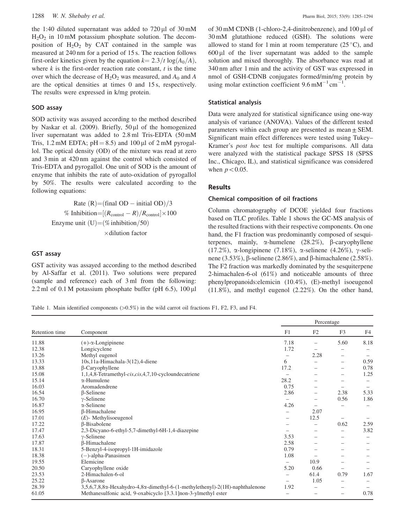the 1:40 diluted supernatant was added to  $720 \mu$ l of  $30 \text{ mM}$  $H<sub>2</sub>O<sub>2</sub>$  in 10 mM potassium phosphate solution. The decomposition of  $H_2O_2$  by CAT contained in the sample was measured at 240 nm for a period of 15 s. The reaction follows first-order kinetics given by the equation  $k = 2.3/t \log(A_0/A)$ , where  $k$  is the first-order reaction rate constant,  $t$  is the time over which the decrease of  $H_2O_2$  was measured, and  $A_0$  and A are the optical densities at times 0 and 15 s, respectively. The results were expressed in k/mg protein.

#### SOD assay

SOD activity was assayed according to the method described by Naskar et al. ([2009](#page-9-0)). Briefly,  $50 \mu l$  of the homogenized liver supernatant was added to 2.8 ml Tris-EDTA (50 mM Tris, 1.2 mM EDTA;  $pH = 8.5$ ) and 100 µl of 2 mM pyrogallol. The optical density (OD) of the mixture was read at zero and 3 min at 420 nm against the control which consisted of Tris-EDTA and pyrogallol. One unit of SOD is the amount of enzyme that inhibits the rate of auto-oxidation of pyrogallol by 50%. The results were calculated according to the following equations:

> Rate  $(R) = (final OD - initial OD)/3$ % Inhibition= $[(R_{\text{control}} - R)/R_{\text{control}}] \times 100$ Enzyme unit  $(U) = (\%$  inhibition/50)  $\times$ dilution factor

#### GST assay

GST activity was assayed according to the method described by Al-Saffar et al. ([2011\)](#page-9-0). Two solutions were prepared (sample and reference) each of 3 ml from the following: 2.2 ml of  $0.1 M$  potassium phosphate buffer (pH  $6.5$ ),  $100 \mu$ l of 30 mM CDNB (1-chloro-2,4-dinitrobenzene), and 100 µl of 30 mM glutathione reduced (GSH). The solutions were allowed to stand for 1 min at room temperature  $(25^{\circ}C)$ , and  $600 \mu l$  of the liver supernatant was added to the sample solution and mixed thoroughly. The absorbance was read at 340 nm after 1 min and the activity of GST was expressed in nmol of GSH-CDNB conjugates formed/min/mg protein by using molar extinction coefficient  $9.6 \text{ mM}^{-1} \text{ cm}^{-1}$ .

#### Statistical analysis

Data were analyzed for statistical significance using one-way analysis of variance (ANOVA). Values of the different tested parameters within each group are presented as mean  $\pm$  SEM. Significant main effect differences were tested using Tukey– Kramer's post hoc test for multiple comparisons. All data were analyzed with the statistical package SPSS 18 (SPSS Inc., Chicago, IL), and statistical significance was considered when  $p<0.05$ .

#### Results

#### Chemical composition of oil fractions

Column chromatography of DCOE yielded four fractions based on TLC profiles. Table 1 shows the GC-MS analysis of the resulted fractions with their respective components. On one hand, the F1 fraction was predominantly composed of sesquiterpenes, mainly,  $\alpha$ -humelene (28.2%),  $\beta$ -caryophyllene (17.2%),  $\alpha$ -longipinene (7.18%),  $\alpha$ -selinene (4.26%),  $\gamma$ -selinene (3.53%),  $\beta$ -selinene (2.86%), and  $\beta$ -himachalene (2.58%). The F2 fraction was markedly dominated by the sesquiterpene 2-himachalen-6-ol (61%) and noticeable amounts of three phenylpropanoids:elemicin (10.4%), (E)-methyl isoeugenol (11.8%), and methyl eugenol (2.22%). On the other hand,

Table 1. Main identified components  $(>0.5%)$  in the wild carrot oil fractions F1, F2, F3, and F4.

|                |                                                                              | Percentage               |                 |                 |                   |
|----------------|------------------------------------------------------------------------------|--------------------------|-----------------|-----------------|-------------------|
| Retention time | Component                                                                    | F1                       | F2              | F <sub>3</sub>  | F4                |
| 11.88          | $(+)$ - $\alpha$ -Longipinene                                                | 7.18                     | -               | 5.60            | 8.18              |
| 12.38          | Longicyclene                                                                 | 1.72                     | -               |                 |                   |
| 13.26          | Methyl eugenol                                                               | -                        | 2.28            | -               |                   |
| 13.33          | $10s$ , 11a-Himachala-3(12), 4-diene                                         | 6                        |                 | -               | 0.59              |
| 13.88          | $\beta$ -Caryophyllene                                                       | 17.2                     |                 | -               | 0.78              |
| 15.08          | 1,1,4,8-Tetramethyl-cis,cis,4,7,10-cycloundecatriene                         |                          | -               | -               | 1.25              |
| 15.14          | $\alpha$ -Humulene                                                           | 28.2                     | $\qquad \qquad$ | -               | $\qquad \qquad -$ |
| 16.03          | Aromadendrene                                                                | 0.75                     |                 | -               |                   |
| 16.54          | $\beta$ -Selinene                                                            | 2.86                     | -               | 2.38            | 5.33              |
| 16.70          | $\gamma$ -Selinene                                                           | $\overline{\phantom{0}}$ | -               | 0.56            | 1.86              |
| 16.87          | $\alpha$ -Selinene                                                           | 4.26                     | -               |                 |                   |
| 16.95          | <b>B-Himachalene</b>                                                         |                          | 2.07            |                 |                   |
| 17.01          | $(E)$ - Methylisoeugenol                                                     | -                        | 12.5            |                 |                   |
| 17.22          | <b>B-Bisabolene</b>                                                          | $\overline{\phantom{a}}$ | -               | 0.62            | 2.59              |
| 17.47          | 2,3-Dicyano-6-ethyl-5,7-dimethyl-6H-1,4-diazepine                            |                          | -               | -               | 3.82              |
| 17.63          | $\gamma$ -Selinene                                                           | 3.53                     | -               | -               |                   |
| 17.87          | <b>ß-Himachalene</b>                                                         | 2.58                     |                 | -               |                   |
| 18.31          | 5-Benzyl-4-isopropyl-1H-imidazole                                            | 0.79                     |                 | -               |                   |
| 18.38          | $(-)$ -alpha-Panasinsen                                                      | 1.08                     |                 |                 |                   |
| 19.55          | Elemicine                                                                    | $\overline{\phantom{0}}$ | 10.9            | -               |                   |
| 20.50          | Caryophyllene oxide                                                          | 5.20                     | 0.66            | $\qquad \qquad$ |                   |
| 23.53          | 2-Himachalen-6-ol                                                            | $\overline{\phantom{0}}$ | 61.4            | 0.79            | 1.67              |
| 25.22          | $\beta$ -Asarone                                                             | $\overline{\phantom{0}}$ | 1.05            | -               |                   |
| 28.39          | 3,5,6,7,8,8α-Hexahydro-4,8α-dimethyl-6-(1-methylethenyl)-2(1H)-naphthalenone | 1.92                     |                 | -               |                   |
| 61.05          | Methanesulfonic acid, 9-oxabicyclo [3.3.1] non-3-ylmethyl ester              | $\overline{\phantom{0}}$ |                 |                 | 0.78              |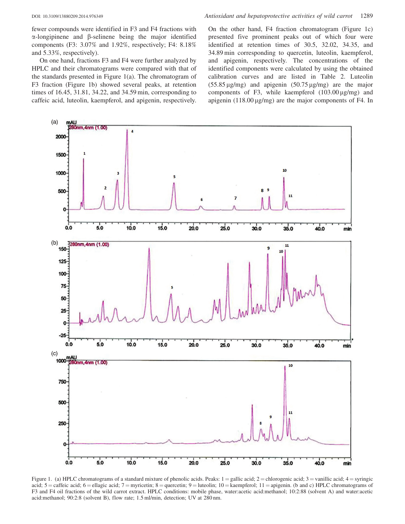fewer compounds were identified in F3 and F4 fractions with  $\alpha$ -longipinene and  $\beta$ -selinene being the major identified components (F3: 3.07% and 1.92%, respectively; F4: 8.18% and 5.33%, respectively).

On one hand, fractions F3 and F4 were further analyzed by HPLC and their chromatograms were compared with that of the standards presented in Figure 1(a). The chromatogram of F3 fraction (Figure 1b) showed several peaks, at retention times of 16.45, 31.81, 34.22, and 34.59 min, corresponding to caffeic acid, luteolin, kaempferol, and apigenin, respectively. On the other hand, F4 fraction chromatogram (Figure 1c) presented five prominent peaks out of which four were identified at retention times of 30.5, 32.02, 34.35, and 34.89 min corresponding to quercetin, luteolin, kaempferol, and apigenin, respectively. The concentrations of the identified components were calculated by using the obtained calibration curves and are listed in [Table 2.](#page-6-0) Luteolin  $(55.85 \,\mu\text{g/mg})$  and apigenin  $(50.75 \,\mu\text{g/mg})$  are the major components of F3, while kaempferol  $(103.00 \,\mu\text{g/mg})$  and apigenin  $(118.00 \,\mu\text{g/mg})$  are the major components of F4. In



Figure 1. (a) HPLC chromatograms of a standard mixture of phenolic acids. Peaks:  $1 =$ gallic acid;  $2 =$ chlorogenic acid;  $3 =$ vanillic acid;  $4 =$ syringic acid;  $5 =$  caffeic acid;  $6 =$  ellagic acid;  $7 =$  myricetin;  $8 =$  quercetin;  $9 =$  luteolin;  $10 =$  kaempferol;  $11 =$  apigenin. (b and c) HPLC chromatograms of F3 and F4 oil fractions of the wild carrot extract. HPLC conditions: mobile phase, water:acetic acid:methanol; 10:2:88 (solvent A) and water:acetic acid:methanol; 90:2:8 (solvent B), flow rate; 1.5 ml/min, detection; UV at 280 nm.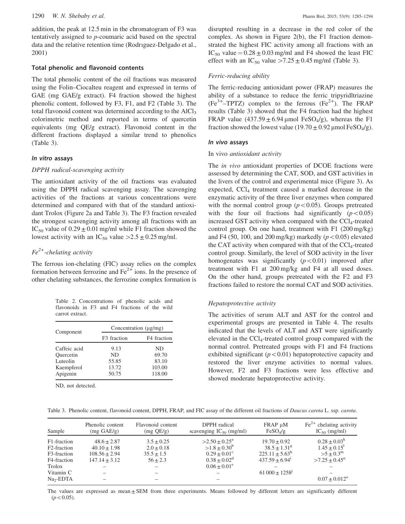<span id="page-6-0"></span>addition, the peak at 12.5 min in the chromatogram of F3 was tentatively assigned to p-coumaric acid based on the spectral data and the relative retention time (Rodrıguez-Delgado et al., [2001\)](#page-9-0)

#### Total phenolic and flavonoid contents

The total phenolic content of the oil fractions was measured using the Folin–Ciocalteu reagent and expressed in terms of GAE (mg GAE/g extract). F4 fraction showed the highest phenolic content, followed by F3, F1, and F2 (Table 3). The total flavonoid content was determined according to the  $AICI<sub>3</sub>$ colorimetric method and reported in terms of quercetin equivalents (mg QE/g extract). Flavonoid content in the different fractions displayed a similar trend to phenolics (Table 3).

#### In vitro assays

#### DPPH radical-scavenging activity

The antioxidant activity of the oil fractions was evaluated using the DPPH radical scavenging assay. The scavenging activities of the fractions at various concentrations were determined and compared with that of the standard antioxidant Trolox [\(Figure 2a](#page-7-0) and Table 3). The F3 fraction revealed the strongest scavenging activity among all fractions with an IC<sub>50</sub> value of  $0.29 \pm 0.01$  mg/ml while F1 fraction showed the lowest activity with an IC<sub>50</sub> value  $>2.5 \pm 0.25$  mg/ml.

# $Fe<sup>2+</sup>$ -chelating activity

The ferrous ion-chelating (FIC) assay relies on the complex formation between ferrozine and  $Fe<sup>2+</sup>$  ions. In the presence of other chelating substances, the ferrozine complex formation is

Table 2. Concentrations of phenolic acids and flavonoids in F3 and F4 fractions of the wild carrot extract.

| Component    | Concentration $(\mu g/mg)$ |             |  |  |
|--------------|----------------------------|-------------|--|--|
|              | F <sub>3</sub> fraction    | F4 fraction |  |  |
| Caffeic acid | 9.13                       | ND.         |  |  |
| Ouercetin    | ND.                        | 69.70       |  |  |
| Luteolin     | 55.85                      | 83.10       |  |  |
| Kaempferol   | 13.72                      | 103.00      |  |  |
| Apigenin     | 50.75                      | 118.00      |  |  |

ND, not detected.

disrupted resulting in a decrease in the red color of the complex. As shown in [Figure 2\(b\)](#page-7-0), the F1 fraction demonstrated the highest FIC activity among all fractions with an  $IC_{50}$  value =  $0.28 \pm 0.03$  mg/ml and F4 showed the least FIC effect with an IC<sub>50</sub> value > 7.25  $\pm$  0.45 mg/ml (Table 3).

#### Ferric-reducing ability

The ferric-reducing antioxidant power (FRAP) measures the ability of a substance to reduce the ferric tripyridltriazine  $(Fe^{3+}-TPTZ)$  complex to the ferrous  $(Fe^{2+})$ . The FRAP results (Table 3) showed that the F4 fraction had the highest FRAP value  $(437.59 \pm 6.94 \,\mu\text{mol} \text{FeSO}_4/\text{g})$ , whereas the F1 fraction showed the lowest value (19.70  $\pm$  0.92 µmol FeSO<sub>4</sub>/g).

#### In vivo assays

#### In vivo antioxidant activity

The in vivo antioxidant properties of DCOE fractions were assessed by determining the CAT, SOD, and GST activities in the livers of the control and experimental mice ([Figure 3](#page-8-0)). As expected,  $CCl<sub>4</sub>$  treatment caused a marked decrease in the enzymatic activity of the three liver enzymes when compared with the normal control group ( $p<0.05$ ). Groups pretreated with the four oil fractions had significantly  $(p<0.05)$ increased GST activity when compared with the  $\text{CC}l_4$ -treated control group. On one hand, treatment with F1 (200 mg/kg) and F4 (50, 100, and 200 mg/kg) markedly ( $p<0.05$ ) elevated the CAT activity when compared with that of the  $\text{CCl}_4$ -treated control group. Similarly, the level of SOD activity in the liver homogenates was significantly  $(p<0.01)$  improved after treatment with F1 at 200 mg/kg and F4 at all used doses. On the other hand, groups pretreated with the F2 and F3 fractions failed to restore the normal CAT and SOD activities.

#### Hepatoprotective activity

The activities of serum ALT and AST for the control and experimental groups are presented in [Table 4.](#page-8-0) The results indicated that the levels of ALT and AST were significantly elevated in the  $\text{CCl}_4$ -treated control group compared with the normal control. Pretreated groups with F1 and F4 fractions exhibited significant  $(p<0.01)$  hepatoprotective capacity and restored the liver enzyme activities to normal values. However, F2 and F3 fractions were less effective and showed moderate hepatoprotective activity.

|  |  |  |  |  |  |  | Table 3. Phenolic content, flavonoid content, DPPH, FRAP, and FIC assay of the different oil fractions of <i>Daucus carota</i> L. ssp. <i>carota</i> . |
|--|--|--|--|--|--|--|--------------------------------------------------------------------------------------------------------------------------------------------------------|
|--|--|--|--|--|--|--|--------------------------------------------------------------------------------------------------------------------------------------------------------|

| Sample                                  | Phenolic content<br>$(mg \text{ GAE/g})$ | Flavonoid content<br>$(mg \tQE/g)$ | DPPH radical<br>scavenging $IC_{50}$ (mg/ml) | FRAP µM<br>$FeSO_4/g$                                 | $\text{Fe}^{2+}$ chelating activity<br>$IC_{50}$ (mg/ml) |
|-----------------------------------------|------------------------------------------|------------------------------------|----------------------------------------------|-------------------------------------------------------|----------------------------------------------------------|
| F1-fraction                             | $48.6 + 2.87$                            | $3.5 + 0.25$                       | $>2.50 \pm 0.25^{\circ}$                     | $19.70 + 0.92$                                        | $0.28 \pm 0.03^k$                                        |
| F <sub>2</sub> -fraction<br>F3-fraction | $40.10 + 1.98$<br>$108.56 \pm 2.94$      | $2.0 + 0.18$<br>$35.5 \pm 1.5$     | $>1.8 + 0.30^b$<br>$0.29 + 0.01^{\circ}$     | $38.5 + 1.31$ <sup>g</sup><br>$225.11 + 5.63^{\rm h}$ | $1.45 + 0.15$ <sup>1</sup><br>$>5 \pm 0.3^{\rm m}$       |
| F4-fraction<br>Trolox                   | $147.14 + 3.12$                          | $56 + 2.3$                         | $0.38 + 0.02^d$<br>$0.06 \pm 0.01^e$         | $437.59 + 6.94$ <sup>1</sup>                          | $>7.25 + 0.45^{\mathrm{n}}$                              |
| Vitamin C                               |                                          | -                                  |                                              | $61000 \pm 1258$                                      | $\overline{\phantom{a}}$                                 |
| $Na2-EDTA$                              |                                          |                                    |                                              |                                                       | $0.07 \pm 0.012$ <sup>o</sup>                            |

The values are expressed as mean  $\pm$  SEM from three experiments. Means followed by different letters are significantly different  $(p<0.05)$ .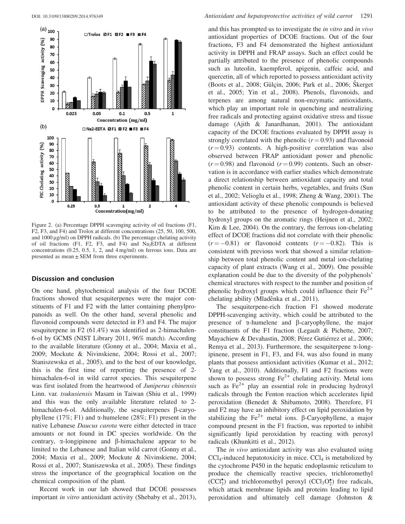<span id="page-7-0"></span>

Figure 2. (a) Percentage DPPH scavenging activity of oil fractions (F1, F2, F3, and F4) and Trolox at different concentrations (25, 50, 100, 500, and  $1000 \mu g/ml$ ) on DPPH radicals. (b) The percentage chelating activity of oil fractions (F1, F2, F3, and F4) and  $Na<sub>2</sub>EDTA$  at different concentrations (0.25, 0.5, 1, 2, and 4 mg/ml) on ferrous ions. Data are presented as mean  $\pm$  SEM from three experiments.

#### Discussion and conclusion

On one hand, phytochemical analysis of the four DCOE fractions showed that sesquiterpenes were the major constituents of F1 and F2 with the latter containing phenylpropanoids as well. On the other hand, several phenolic and flavonoid compounds were detected in F3 and F4. The major sesquiterpene in F2 (61.4%) was identified as 2-himachalen-6-ol by GCMS (NIST Library 2011, 96% match). According to the available literature (Gonny et al., [2004](#page-9-0); Maxia et al., [2009;](#page-9-0) Mockute & Nivinskiene, [2004;](#page-9-0) Rossi et al., [2007](#page-10-0); Staniszewska et al., [2005](#page-10-0)), and to the best of our knowledge, this is the first time of reporting the presence of 2 himachalen-6-ol in wild carrot species. This sesquiterpene was first isolated from the heartwood of Juniperus chinensis Linn. var. tsukusiensis Masam in Taiwan (Shiu et al., [1999\)](#page-10-0) and this was the only available literature related to 2 himachalen-6-ol. Additionally, the sesquiterpenes  $\beta$ -caryophyllene (17%; F1) and  $\alpha$ -humelene (28%; F1) present in the native Lebanese Daucus carota were either detected in trace amounts or not found in DC species worldwide. On the contrary,  $\alpha$ -longipinene and  $\beta$ -himachalene appear to be limited to the Lebanese and Italian wild carrot (Gonny et al., [2004;](#page-9-0) Maxia et al., [2009;](#page-9-0) Mockute & Nivinskiene, [2004](#page-9-0); Rossi et al., [2007;](#page-10-0) Staniszewska et al., [2005](#page-10-0)). These findings stress the importance of the geographical location on the chemical composition of the plant.

Recent work in our lab showed that DCOE possesses important *in vitro* antioxidant activity (Shebaby et al., [2013](#page-10-0)), and this has prompted us to investigate the in vitro and in vivo antioxidant properties of DCOE fractions. Out of the four fractions, F3 and F4 demonstrated the highest antioxidant activity in DPPH and FRAP assays. Such an effect could be partially attributed to the presence of phenolic compounds such as luteolin, kaempferol, apigenin, caffeic acid, and quercetin, all of which reported to possess antioxidant activity (Boots et al., [2008;](#page-9-0) Gülçin, [2006](#page-9-0); Park et al., 2006; Skerget et al., [2005;](#page-10-0) Yin et al., [2008](#page-10-0)). Phenols, flavonoids, and terpenes are among natural non-enzymatic antioxidants, which play an important role in quenching and neutralizing free radicals and protecting against oxidative stress and tissue damage (Ajith & Janardhanan, [2001](#page-9-0)). The antioxidant capacity of the DCOE fractions evaluated by DPPH assay is strongly correlated with the phenolic  $(r = 0.93)$  and flavonoid  $(r = 0.93)$  contents. A high-positive correlation was also observed between FRAP antioxidant power and phenolic  $(r = 0.98)$  and flavonoid  $(r = 0.99)$  contents. Such an observation is in accordance with earlier studies which demonstrate a direct relationship between antioxidant capacity and total phenolic content in certain herbs, vegetables, and fruits (Sun et al., [2002](#page-10-0); Velioglu et al., [1998;](#page-10-0) Zheng & Wang, [2001\)](#page-10-0). The antioxidant activity of these phenolic compounds is believed to be attributed to the presence of hydrogen-donating hydroxyl groups on the aromatic rings (Heijnen et al., [2002](#page-9-0); Kim & Lee, [2004\)](#page-9-0). On the contrary, the ferrous ion-chelating effect of DCOE fractions did not correlate with their phenolic  $(r = -0.81)$  or flavonoid contents  $(r = -0.82)$ . This is consistent with previous work that showed a similar relationship between total phenolic content and metal ion-chelating capacity of plant extracts (Wang et al., [2009](#page-10-0)). One possible explanation could be due to the diversity of the polyphenols' chemical structures with respect to the number and position of phenolic hydroxyl groups which could influence their  $Fe^{2+}$ chelating ability (Mladěnka et al., [2011](#page-9-0)).

The sesquiterpene-rich fraction F1 showed moderate DPPH-scavenging activity, which could be attributed to the presence of  $\alpha$ -humelene and  $\beta$ -caryophyllene, the major constituents of the F1 fraction (Legault & Pichette, [2007](#page-9-0); Mayachiew & Devahastin, [2008](#page-9-0); Pérez Gutiérrez et al., [2006](#page-9-0); Remya et al., [2013](#page-9-0)). Furthermore, the sesquiterpene  $\alpha$ -longipinene, present in F1, F3, and F4, was also found in many plants that possess antioxidant activities (Kumar et al., [2012](#page-9-0); Yang et al., [2010](#page-10-0)). Additionally, F1 and F2 fractions were shown to possess strong  $Fe^{2+}$  chelating activity. Metal ions such as  $Fe^{2+}$  play an essential role in producing hydroxyl radicals through the Fenton reaction which accelerates lipid peroxidation (Benedet & Shibamoto, [2008\)](#page-9-0). Therefore, F1 and F2 may have an inhibitory effect on lipid peroxidation by stabilizing the  $Fe^{2+}$  metal ions.  $\beta$ -Caryophyllene, a major compound present in the F1 fraction, was reported to inhibit significantly lipid peroxidation by reacting with peroxyl radicals (Khunkitti et al., [2012](#page-9-0)).

The *in vivo* antioxidant activity was also evaluated using  $\text{CCl}_4$ -induced hepatotoxicity in mice.  $\text{CCl}_4$  is metabolized by the cytochrome P450 in the hepatic endoplasmic reticulum to produce the chemically reactive species, trichloromethyl  $(CCl<sub>3</sub><sup>*</sup>)$  and trichloromethyl peroxyl  $(CCl<sub>3</sub>O<sub>2</sub><sup>*</sup>)$  free radicals, which attack membrane lipids and proteins leading to lipid peroxidation and ultimately cell damage (Johnston &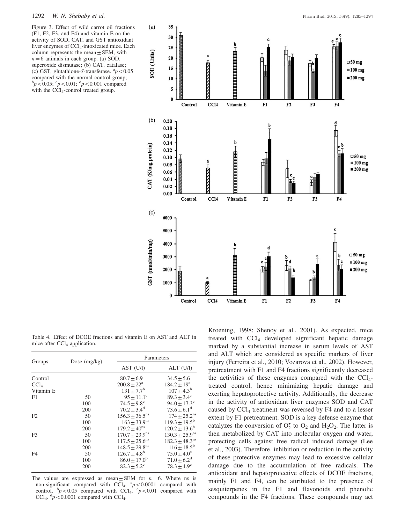<span id="page-8-0"></span>

Table 4. Effect of DCOE fractions and vitamin E on AST and ALT in mice after CCl<sub>4</sub> application.

| Groups           | Dose $(mg/kg)$ | Parameters                     |                                |  |
|------------------|----------------|--------------------------------|--------------------------------|--|
|                  |                | AST (U/I)                      | ALT (U/I)                      |  |
| Control          |                | $80.7 + 6.9$                   | $34.5 + 5.6$                   |  |
| CCl <sub>4</sub> |                | $200.8 + 22^a$                 | $184.2 + 19^a$                 |  |
| Vitamin E        |                | $131 + 7.7^b$                  | $107 + 4.3^b$                  |  |
| F1               | 50             | $95 + 11.1^{\circ}$            | $89.3 + 3.4^{\circ}$           |  |
|                  | 100            | $74.5 + 9.8^{\circ}$           | $94.0 + 17.3$ <sup>c</sup>     |  |
|                  | 200            | $70.2 + 3.4^d$                 | $73.6 + 6.1^d$                 |  |
| F2               | 50             | $156.3 + 36.5$ <sup>ns</sup>   | $174 + 25.2$ <sup>ns</sup>     |  |
|                  | 100            | $163 \pm 33.9$ <sup>ns</sup>   | $119.3 \pm 19.5^{\rm b}$       |  |
|                  | 200            | $179.2 + 40^{\text{ns}}$       | $120.2 + 13.6^b$               |  |
| F3               | 50             | $170.7 \pm 23.9$ <sup>ns</sup> | $130.3 \pm 25.9$ <sup>ns</sup> |  |
|                  | 100            | $117.5 + 25.6$ <sup>ns</sup>   | $182.3 \pm 48.3$ <sup>ns</sup> |  |
|                  | 200            | $148.5 \pm 29.8$ <sup>ns</sup> | $116 + 18.5^b$                 |  |
| F4               | 50             | $126.7 + 4.8^b$                | $75.0 \pm 4.0^{\circ}$         |  |
|                  | 100            | $86.0 + 17.0^b$                | $71.0 \pm 6.2^d$               |  |
|                  | 200            | $82.3 + 5.2^{\circ}$           | $78.3 + 4.9^{\circ}$           |  |

The values are expressed as mean  $\pm$  SEM for  $n = 6$ . Where ns is non-significant compared with CCl<sub>4</sub>,  ${}^{a}p$  < 0.0001 compared with control.  $\frac{b}{p}$  < 0.05 compared with CCl<sub>4</sub>.  $\frac{c}{p}$  < 0.01 compared with CCl<sub>4</sub>.  ${}^d p$  < 0.0001 compared with CCl<sub>4</sub>.

Kroening, [1998](#page-9-0); Shenoy et al., [2001\)](#page-10-0). As expected, mice treated with CCl4 developed significant hepatic damage marked by a substantial increase in serum levels of AST and ALT which are considered as specific markers of liver injury (Ferreira et al., [2010;](#page-9-0) Vozarova et al., [2002](#page-10-0)). However, pretreatment with F1 and F4 fractions significantly decreased the activities of these enzymes compared with the  $CCl<sub>4</sub>$ treated control, hence minimizing hepatic damage and exerting hepatoprotective activity. Additionally, the decrease in the activity of antioxidant liver enzymes SOD and CAT caused by CCl<sub>4</sub> treatment was reversed by F4 and to a lesser extent by F1 pretreatment. SOD is a key defense enzyme that catalyzes the conversion of  $O_2^{\bullet}$  to  $O_2$  and  $H_2O_2$ . The latter is then metabolized by CAT into molecular oxygen and water, protecting cells against free radical induced damage (Lee et al., [2003](#page-9-0)). Therefore, inhibition or reduction in the activity of these protective enzymes may lead to excessive cellular damage due to the accumulation of free radicals. The antioxidant and hepatoprotective effects of DCOE fractions, mainly F1 and F4, can be attributed to the presence of sesquiterpenes in the F1 and flavonoids and phenolic compounds in the F4 fractions. These compounds may act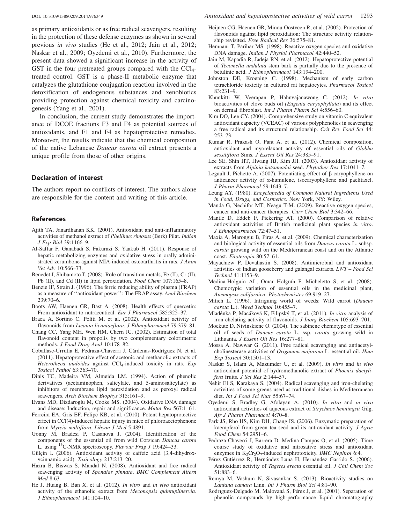<span id="page-9-0"></span>as primary antioxidants or as free radical scavengers, resulting in the protection of these defense enzymes as shown in several previous in vivo studies (He et al., 2012; Jain et al., 2012; Naskar et al., 2009; Oyedemi et al., 2010). Furthermore, the present data showed a significant increase in the activity of GST in the four pretreated groups compared with the  $CCl<sub>4</sub>$ treated control. GST is a phase-II metabolic enzyme that catalyzes the glutathione conjugation reaction involved in the detoxification of endogenous substances and xenobiotics providing protection against chemical toxicity and carcinogenesis (Yang et al., [2001\)](#page-10-0).

In conclusion, the current study demonstrates the importance of DCOE fractions F3 and F4 as potential sources of antioxidants, and F1 and F4 as hepatoprotective remedies. Moreover, the results indicate that the chemical composition of the native Lebanese Daucus carota oil extract presents a unique profile from those of other origins.

#### Declaration of interest

The authors report no conflicts of interest. The authors alone are responsible for the content and writing of this article.

#### References

- Ajith TA, Janardhanan KK. (2001). Antioxidant and anti-inflammatory activities of methanol extract of Phellinus rimosus (Berk) Pilat. Indian J Exp Biol 39:1166–9.
- Al-Saffar F, Ganabadi S, Fakurazi S, Yaakub H. (2011). Response of hepatic metabolizing enzymes and oxidative stress in orally administrated zerumbone against MIA-induced osteoarthritis in rats. J Anim Vet Adv 10:566–73.
- Benedet J, Shibamoto T. (2008). Role of transition metals, Fe (II), Cr (II), Pb (II), and Cd (II) in lipid peroxidation. Food Chem 107:165–8.
- Benzie IF, Strain J. (1996). The ferric reducing ability of plasma (FRAP) as a measure of ''antioxidant power'': The FRAP assay. Anal Biochem 239:70–6.
- Boots AW, Haenen GR, Bast A. (2008). Health effects of quercetin: From antioxidant to nutraceutical. Eur J Pharmacol 585:325–37.
- Braca A, Sortino C, Politi M, et al. (2002). Antioxidant activity of flavonoids from Licania licaniaeflora. J Ethnopharmacol 79:379-81.
- Chang CC, Yang MH, Wen HM, Chern JC. (2002). Estimation of total flavonoid content in propolis by two complementary colorimetric methods. J Food Drug Anal 10:178-82.
- Coballase-Urrutia E, Pedraza-Chaverri J, Cárdenas-Rodríguez N, et al. (2011). Hepatoprotective effect of acetonic and methanolic extracts of Heterotheca inuloides against CCl<sub>4</sub>-induced toxicity in rats. Exp Toxicol Pathol 63:363–70.
- Dinis TC, Madeira VM, Almeida LM. (1994). Action of phenolic derivatives (acetaminophen, salicylate, and 5-aminosalicylate) as inhibitors of membrane lipid peroxidation and as peroxyl radical scavengers. Arch Biochem Biophys 315:161–9.
- Evans MD, Dizdaroglu M, Cooke MS. (2004). Oxidative DNA damage and disease: Induction, repair and significance. Mutat Res 567:1–61.
- Ferreira EA, Gris EF, Felipe KB, et al. (2010). Potent hepatoprotective effect in CCl(4)-induced hepatic injury in mice of phloroacetophenone from Myrcia multiflora. Libyan J Med 5:4891.
- Gonny M, Bradesi P, Casanova J. (2004). Identification of the components of the essential oil from wild Corsican Daucus carota L. using  $^{13}$ C-NMR spectroscopy. Flavour Frag J 19:424–33.
- Gülçin I. (2006). Antioxidant activity of caffeic acid (3,4-dihydroxycinnamic acid). Toxicology 217:213–20.
- Hazra B, Biswas S, Mandal N. (2008). Antioxidant and free radical scavenging activity of Spondias pinnata. BMC Complement Altern Med 8:63.
- He J, Huang B, Ban X, et al. (2012). In vitro and in vivo antioxidant activity of the ethanolic extract from Meconopsis quintuplinervia. J Ethnopharmacol 141:104–10.
- Heijnen CG, Haenen GR, Minou Oostveen R, et al. (2002). Protection of flavonoids against lipid peroxidation: The structure activity relationship revisited. Free Radical Res 36:575–81.
- Hemnani T, Parihar MS. (1998). Reactive oxygen species and oxidative DNA damage. Indian J Physiol Pharmacol 42:440–52.
- Jain M, Kapadia R, Jadeja RN, et al. (2012). Hepatoprotective potential of Tecomella undulata stem bark is partially due to the presence of betulinic acid. J Ethnopharmacol 143:194–200.
- Johnston DE, Kroening C. (1998). Mechanism of early carbon tetrachloride toxicity in cultured rat hepatocytes. Pharmacol Toxicol 83:231–9.
- Khunkitti W, Veerapan P, Hahnvajanawong C. (2012). In vitro bioactivities of clove buds oil (Eugenia caryophyllata) and its effect on dermal fibroblast. Int J Pharm Pharm Sci 4:556–60.
- Kim DO, Lee CY. (2004). Comprehensive study on vitamin C equivalent antioxidant capacity (VCEAC) of various polyphenolics in scavenging a free radical and its structural relationship. Crit Rev Food Sci 44: 253–73.
- Kumar R, Prakash O, Pant A, et al. (2012). Chemical composition, antioxidant and myorelaxant activity of essential oils of Globba sessiliflora Sims. J Essent Oil Res 24:385–91.
- Lee SE, Shin HT, Hwang HJ, Kim JH. (2003). Antioxidant activity of extracts from Alpinia katsumadai seed. Phytother Res 17:1041–7.
- Legault J, Pichette A. (2007). Potentiating effect of  $\beta$ -caryophyllene on anticancer activity of a-humulene, isocaryophyllene and paclitaxel. J Pharm Pharmacol 59:1643–7.
- Leung AY. (1980). Encyclopedia of Common Natural Ingredients Used in Food, Drugs, and Cosmetics. New York, NY: Wiley.
- Manda G, Nechifor MT, Neagu T-M. (2009). Reactive oxygen species, cancer and anti-cancer therapies. Curr Chem Biol 3:342–66.
- Mantle D, Eddeb F, Pickering AT. (2000). Comparison of relative antioxidant activities of British medicinal plant species in vitro. J Ethnopharmacol 72:47–51.
- Maxia A, Marongiu B, Piras A, et al. (2009). Chemical characterization and biological activity of essential oils from Daucus carota L. subsp. carota growing wild on the Mediterranean coast and on the Atlantic coast. Fitoterapia 80:57–61.
- Mayachiew P, Devahastin S. (2008). Antimicrobial and antioxidant activities of Indian gooseberry and galangal extracts. LWT - Food Sci Technol 41:1153–9.
- Medina-Holguín AL, Omar Holguín F, Micheletto S, et al. (2008). Chemotypic variation of essential oils in the medicinal plant, Anemopsis californica. Phytochemistry 69:919–27.
- Mitich L. (1996). Intriguing world of weeds: Wild carrot (Daucus carota L.). Weed Technol 10:455–7.
- Mladěnka P, Macáková K, Filipský T, et al. (2011). In vitro analysis of iron chelating activity of flavonoids. J Inorg Biochem 105:693–701.
- Mockute D, Nivinskiene O. (2004). The sabinene chemotype of essential oil of seeds of Daucus carota L. ssp. carota growing wild in Lithuania. J Essent Oil Res 16:277-81.
- Mossa A, Nawwar G. (2011). Free radical scavenging and antiacetylcholinesterase activities of Origanum majorana L. essential oil. Hum Exp Toxicol 30:1501–13.
- Naskar S, Islam A, Mazumder U, et al. (2009). In vitro and in vivo antioxidant potential of hydromethanolic extract of Phoenix dactylifera fruits. J Sci Res 2:144–57.
- Nehir El S, Karakaya S. (2004). Radical scavenging and iron-chelating activities of some greens used as traditional dishes in Mediterranean diet. Int J Food Sci Nutr 55:67-74.
- Oyedemi S, Bradley G, Afolayan A. (2010). In vitro and in vivo antioxidant activities of aqueous extract of Strychnos henningsii Gilg. Afr J Pharm Pharmacol 4:70–8.
- Park JS, Rho HS, Kim DH, Chang IS. (2006). Enzymatic preparation of kaempferol from green tea seed and its antioxidant activity. J Agric Food Chem 54:2951–6.
- Pedraza-Chaverri J, Barrera D, Medina-Campos O, et al. (2005). Time course study of oxidative and nitrosative stress and antioxidant enzymes in  $K_2Cr_2O_7$ -induced nephrotoxicity. BMC Nephrol 6:4.
- Pérez Gutiérrez R, Hernández Luna H, Hernández Garrido S. (2006). Antioxidant activity of Tagetes erecta essential oil. J Chil Chem Soc 51:883–6.
- Remya M, Vashum N, Sivasankar S. (2013). Bioactivity studies on Lantana camara Linn. Int J Pharm Biol Sci 4:81–90.
- Rodrıguez-Delgado M, Malovaná S, Pérez J, et al. (2001). Separation of phenolic compounds by high-performance liquid chromatography